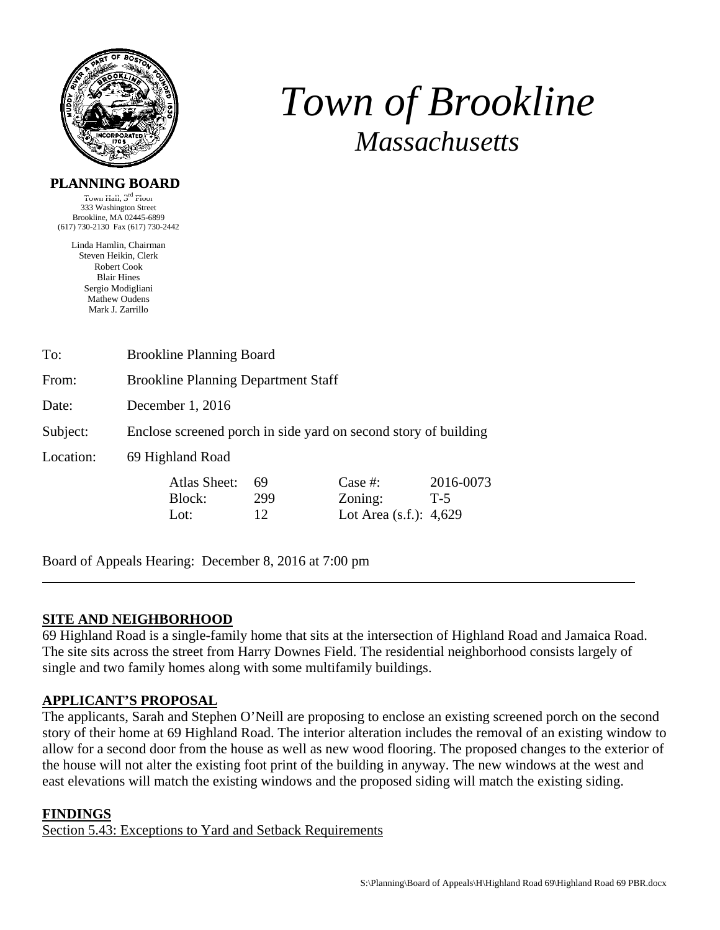

# *Town of Brookline Massachusetts*

#### **PLANNING BOARD**

Town Hall,  $3<sup>rd</sup>$  Floor 333 Washington Street Brookline, MA 02445-6899 (617) 730-2130 Fax (617) 730-2442

> Linda Hamlin, Chairman Steven Heikin, Clerk Robert Cook Blair Hines Sergio Modigliani Mathew Oudens Mark J. Zarrillo

| To:       | <b>Brookline Planning Board</b>                                 |                                |                 |                                           |                             |  |  |
|-----------|-----------------------------------------------------------------|--------------------------------|-----------------|-------------------------------------------|-----------------------------|--|--|
| From:     | <b>Brookline Planning Department Staff</b>                      |                                |                 |                                           |                             |  |  |
| Date:     | December $1, 2016$                                              |                                |                 |                                           |                             |  |  |
| Subject:  | Enclose screened porch in side yard on second story of building |                                |                 |                                           |                             |  |  |
| Location: | 69 Highland Road                                                |                                |                 |                                           |                             |  |  |
|           |                                                                 | Atlas Sheet:<br>Block:<br>Lot: | 69<br>299<br>12 | Case #:<br>Zoning:<br>Lot Area $(s.f.)$ : | 2016-0073<br>$T-5$<br>4,629 |  |  |

Board of Appeals Hearing: December 8, 2016 at 7:00 pm

### **SITE AND NEIGHBORHOOD**

69 Highland Road is a single-family home that sits at the intersection of Highland Road and Jamaica Road. The site sits across the street from Harry Downes Field. The residential neighborhood consists largely of single and two family homes along with some multifamily buildings.

## **APPLICANT'S PROPOSAL**

The applicants, Sarah and Stephen O'Neill are proposing to enclose an existing screened porch on the second story of their home at 69 Highland Road. The interior alteration includes the removal of an existing window to allow for a second door from the house as well as new wood flooring. The proposed changes to the exterior of the house will not alter the existing foot print of the building in anyway. The new windows at the west and east elevations will match the existing windows and the proposed siding will match the existing siding.

#### **FINDINGS**

Section 5.43: Exceptions to Yard and Setback Requirements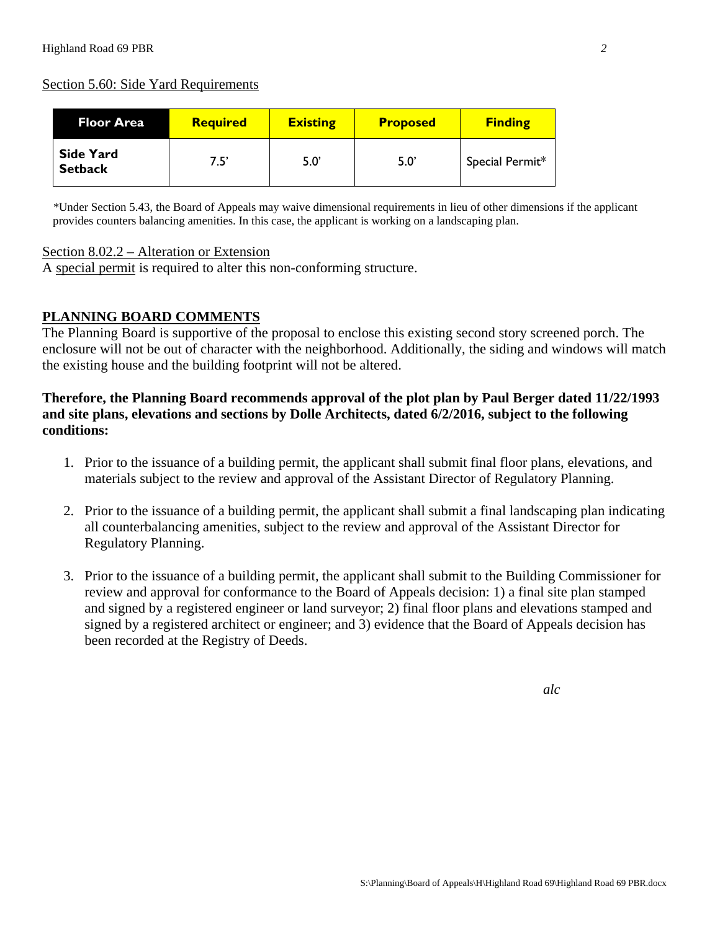### Section 5.60: Side Yard Requirements

| <b>Floor Area</b>                  | <b>Required</b> | <b>Existing</b> | <b>Proposed</b> | <b>Finding</b>  |
|------------------------------------|-----------------|-----------------|-----------------|-----------------|
| <b>Side Yard</b><br><b>Setback</b> | 7.5'            | 5.0             | 5.0'            | Special Permit* |

*\**Under Section 5.43, the Board of Appeals may waive dimensional requirements in lieu of other dimensions if the applicant provides counters balancing amenities. In this case, the applicant is working on a landscaping plan.

#### Section 8.02.2 – Alteration or Extension

A special permit is required to alter this non-conforming structure.

#### **PLANNING BOARD COMMENTS**

The Planning Board is supportive of the proposal to enclose this existing second story screened porch. The enclosure will not be out of character with the neighborhood. Additionally, the siding and windows will match the existing house and the building footprint will not be altered.

#### **Therefore, the Planning Board recommends approval of the plot plan by Paul Berger dated 11/22/1993 and site plans, elevations and sections by Dolle Architects, dated 6/2/2016, subject to the following conditions:**

- 1. Prior to the issuance of a building permit, the applicant shall submit final floor plans, elevations, and materials subject to the review and approval of the Assistant Director of Regulatory Planning.
- 2. Prior to the issuance of a building permit, the applicant shall submit a final landscaping plan indicating all counterbalancing amenities, subject to the review and approval of the Assistant Director for Regulatory Planning.
- 3. Prior to the issuance of a building permit, the applicant shall submit to the Building Commissioner for review and approval for conformance to the Board of Appeals decision: 1) a final site plan stamped and signed by a registered engineer or land surveyor; 2) final floor plans and elevations stamped and signed by a registered architect or engineer; and 3) evidence that the Board of Appeals decision has been recorded at the Registry of Deeds.

 *alc*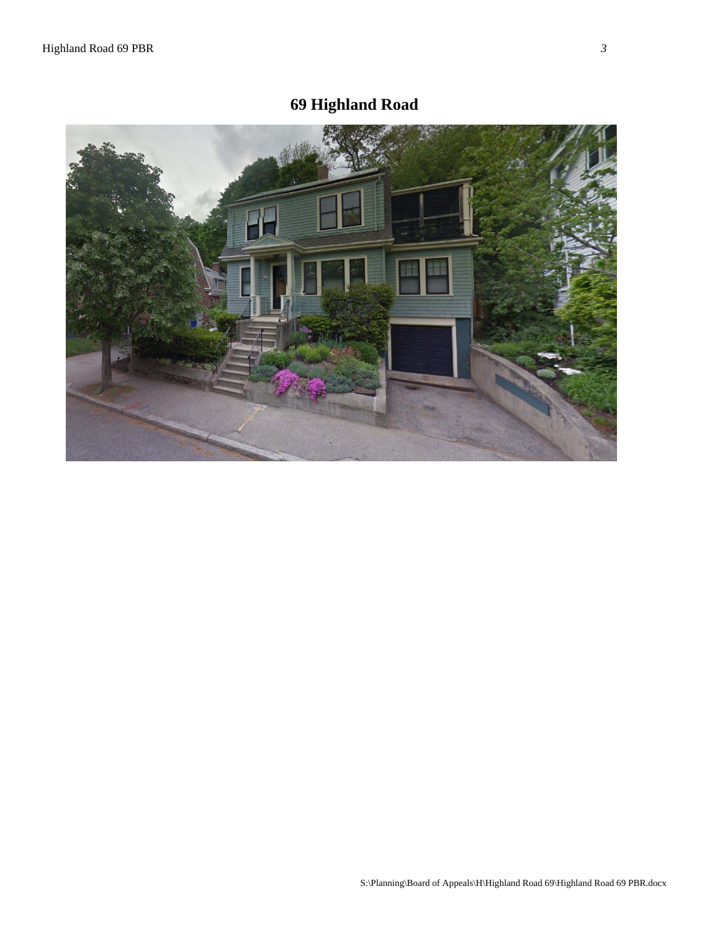# **69 Highland Road**

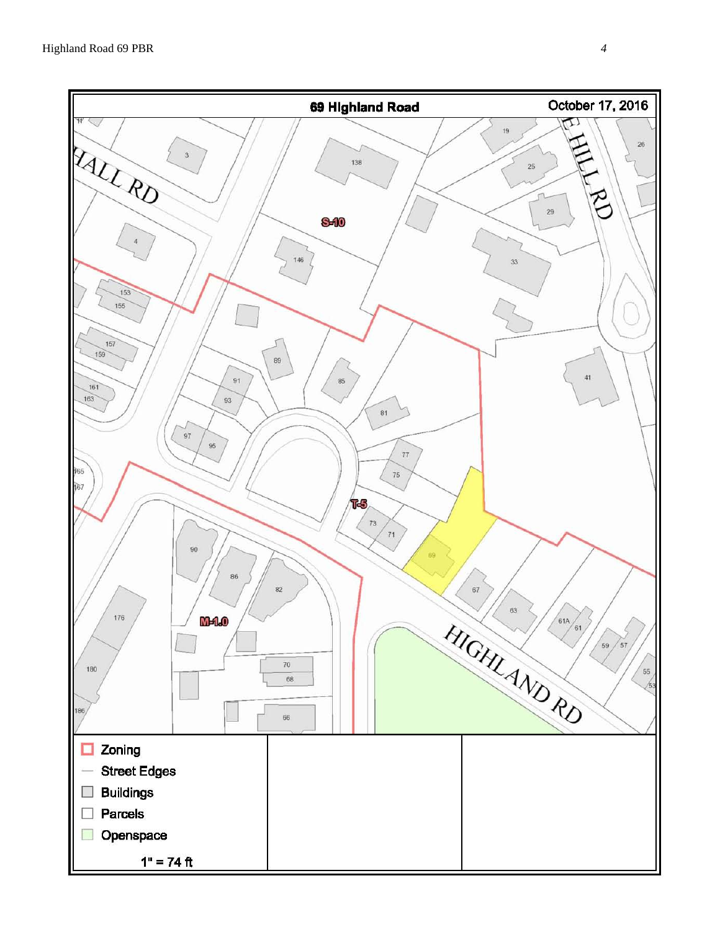